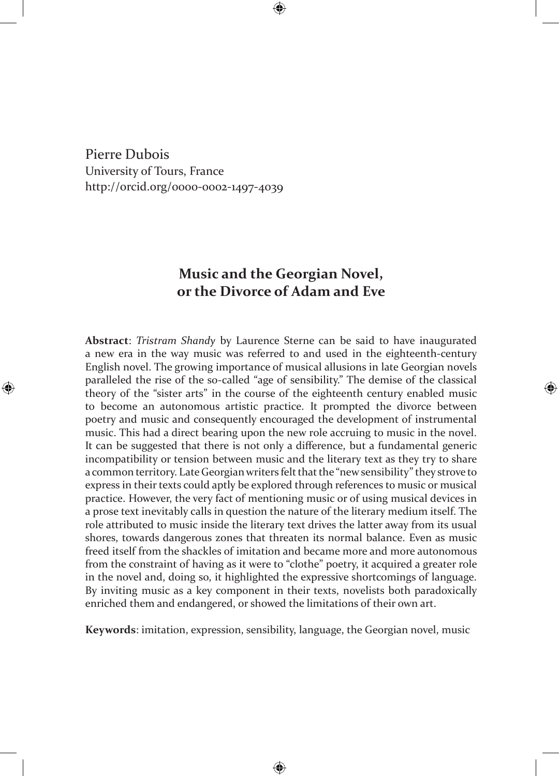Pierre Dubois University of Tours, France http://orcid.org/0000-0002-1497-4039

## **Music and the Georgian Novel, or the Divorce of Adam and Eve**

**Abstract**: *Tristram Shandy* by Laurence Sterne can be said to have inaugurated a new era in the way music was referred to and used in the eighteenth-century English novel. The growing importance of musical allusions in late Georgian novels paralleled the rise of the so-called "age of sensibility." The demise of the classical theory of the "sister arts" in the course of the eighteenth century enabled music to become an autonomous artistic practice. It prompted the divorce between poetry and music and consequently encouraged the development of instrumental music. This had a direct bearing upon the new role accruing to music in the novel. It can be suggested that there is not only a difference, but a fundamental generic incompatibility or tension between music and the literary text as they try to share a common territory. Late Georgian writers felt that the "new sensibility" they strove to express in their texts could aptly be explored through references to music or musical practice. However, the very fact of mentioning music or of using musical devices in a prose text inevitably calls in question the nature of the literary medium itself. The role attributed to music inside the literary text drives the latter away from its usual shores, towards dangerous zones that threaten its normal balance. Even as music freed itself from the shackles of imitation and became more and more autonomous from the constraint of having as it were to "clothe" poetry, it acquired a greater role in the novel and, doing so, it highlighted the expressive shortcomings of language. By inviting music as a key component in their texts, novelists both paradoxically enriched them and endangered, or showed the limitations of their own art.

**Keywords**: imitation, expression, sensibility, language, the Georgian novel, music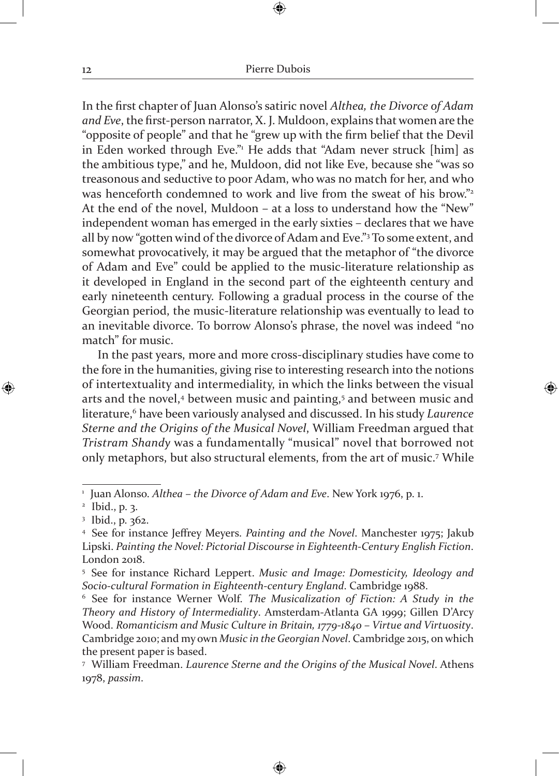In the first chapter of Juan Alonso's satiric novel *Althea, the Divorce of Adam and Eve*, the first-person narrator, X. J. Muldoon, explains that women are the "opposite of people" and that he "grew up with the firm belief that the Devil in Eden worked through Eve." He adds that "Adam never struck [him] as the ambitious type," and he, Muldoon, did not like Eve, because she "was so treasonous and seductive to poor Adam, who was no match for her, and who was henceforth condemned to work and live from the sweat of his brow."<sup>2</sup> At the end of the novel, Muldoon – at a loss to understand how the "New" independent woman has emerged in the early sixties – declares that we have all by now "gotten wind of the divorce of Adam and Eve."3 To some extent, and somewhat provocatively, it may be argued that the metaphor of "the divorce of Adam and Eve" could be applied to the music-literature relationship as it developed in England in the second part of the eighteenth century and early nineteenth century. Following a gradual process in the course of the Georgian period, the music-literature relationship was eventually to lead to an inevitable divorce. To borrow Alonso's phrase, the novel was indeed "no match" for music.

In the past years, more and more cross-disciplinary studies have come to the fore in the humanities, giving rise to interesting research into the notions of intertextuality and intermediality, in which the links between the visual arts and the novel,<sup>4</sup> between music and painting,<sup>5</sup> and between music and literature,<sup>6</sup> have been variously analysed and discussed. In his study *Laurence Sterne and the Origins of the Musical Novel*, William Freedman argued that *Tristram Shandy* was a fundamentally "musical" novel that borrowed not only metaphors, but also structural elements, from the art of music.7 While

<sup>1</sup> Juan Alonso. *Althea – the Divorce of Adam and Eve*. New York 1976, p. 1.

 $^2$  Ibid., p. 3.

<sup>3</sup> Ibid., p. 362.

<sup>4</sup> See for instance Jeffrey Meyers. *Painting and the Novel*. Manchester 1975; Jakub Lipski. *Painting the Novel: Pictorial Discourse in Eighteenth-Century English Fiction*. London 2018.

<sup>5</sup> See for instance Richard Leppert. *Music and Image: Domesticity, Ideology and Socio-cultural Formation in Eighteenth-century England*. Cambridge 1988.

<sup>6</sup> See for instance Werner Wolf. *The Musicalization of Fiction: A Study in the Theory and History of Intermediality*. Amsterdam-Atlanta GA 1999; Gillen D'Arcy Wood. *Romanticism and Music Culture in Britain, 1779-1840 – Virtue and Virtuosity*. Cambridge 2010; and my own *Music in the Georgian Novel*. Cambridge 2015, on which the present paper is based.

<sup>7</sup> William Freedman. *Laurence Sterne and the Origins of the Musical Novel*. Athens 1978, *passim*.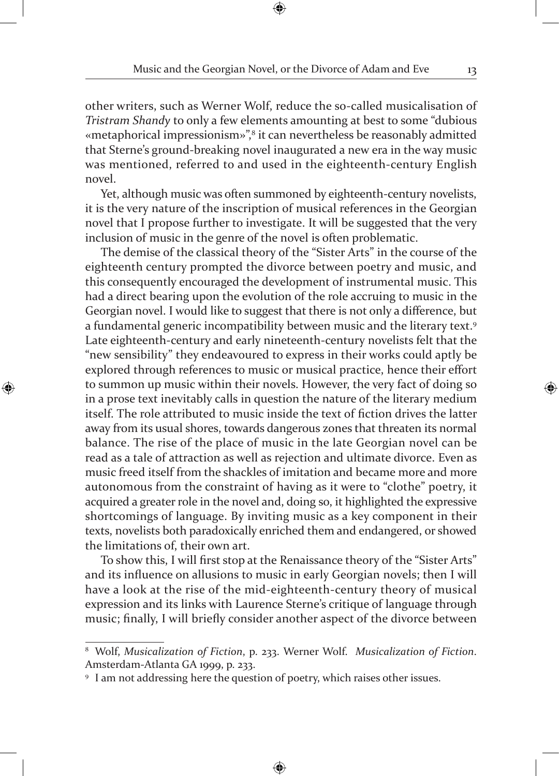other writers, such as Werner Wolf, reduce the so-called musicalisation of *Tristram Shandy* to only a few elements amounting at best to some "dubious «metaphorical impressionism»",<sup>8</sup> it can nevertheless be reasonably admitted that Sterne's ground-breaking novel inaugurated a new era in the way music was mentioned, referred to and used in the eighteenth-century English novel.

Yet, although music was often summoned by eighteenth-century novelists, it is the very nature of the inscription of musical references in the Georgian novel that I propose further to investigate. It will be suggested that the very inclusion of music in the genre of the novel is often problematic.

The demise of the classical theory of the "Sister Arts" in the course of the eighteenth century prompted the divorce between poetry and music, and this consequently encouraged the development of instrumental music. This had a direct bearing upon the evolution of the role accruing to music in the Georgian novel. I would like to suggest that there is not only a difference, but a fundamental generic incompatibility between music and the literary text.9 Late eighteenth-century and early nineteenth-century novelists felt that the "new sensibility" they endeavoured to express in their works could aptly be explored through references to music or musical practice, hence their effort to summon up music within their novels. However, the very fact of doing so in a prose text inevitably calls in question the nature of the literary medium itself. The role attributed to music inside the text of fiction drives the latter away from its usual shores, towards dangerous zones that threaten its normal balance. The rise of the place of music in the late Georgian novel can be read as a tale of attraction as well as rejection and ultimate divorce. Even as music freed itself from the shackles of imitation and became more and more autonomous from the constraint of having as it were to "clothe" poetry, it acquired a greater role in the novel and, doing so, it highlighted the expressive shortcomings of language. By inviting music as a key component in their texts, novelists both paradoxically enriched them and endangered, or showed the limitations of, their own art.

To show this, I will first stop at the Renaissance theory of the "Sister Arts" and its influence on allusions to music in early Georgian novels; then I will have a look at the rise of the mid-eighteenth-century theory of musical expression and its links with Laurence Sterne's critique of language through music; finally, I will briefly consider another aspect of the divorce between

<sup>8</sup> Wolf, *Musicalization of Fiction*, p. 233. Werner Wolf. *Musicalization of Fiction*. Amsterdam-Atlanta GA 1999, p. 233.

<sup>9</sup> I am not addressing here the question of poetry, which raises other issues.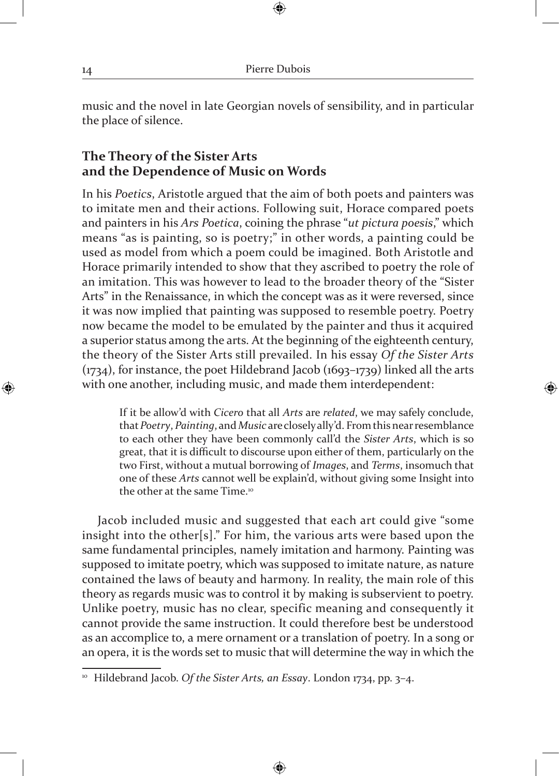music and the novel in late Georgian novels of sensibility, and in particular the place of silence.

## **The Theory of the Sister Arts and the Dependence of Music on Words**

In his *Poetics*, Aristotle argued that the aim of both poets and painters was to imitate men and their actions. Following suit, Horace compared poets and painters in his *Ars Poetica*, coining the phrase "*ut pictura poesis*," which means "as is painting, so is poetry;" in other words, a painting could be used as model from which a poem could be imagined. Both Aristotle and Horace primarily intended to show that they ascribed to poetry the role of an imitation. This was however to lead to the broader theory of the "Sister Arts" in the Renaissance, in which the concept was as it were reversed, since it was now implied that painting was supposed to resemble poetry. Poetry now became the model to be emulated by the painter and thus it acquired a superior status among the arts. At the beginning of the eighteenth century, the theory of the Sister Arts still prevailed. In his essay *Of the Sister Arts* (1734), for instance, the poet Hildebrand Jacob (1693–1739) linked all the arts with one another, including music, and made them interdependent:

If it be allow'd with *Cicero* that all *Arts* are *related*, we may safely conclude, that *Poetry*, *Painting*, and *Music* are closely ally'd. From this near resemblance to each other they have been commonly call'd the *Sister Arts*, which is so great, that it is difficult to discourse upon either of them, particularly on the two First, without a mutual borrowing of *Images*, and *Terms*, insomuch that one of these *Arts* cannot well be explain'd, without giving some Insight into the other at the same Time.10

Jacob included music and suggested that each art could give "some insight into the other[s]." For him, the various arts were based upon the same fundamental principles, namely imitation and harmony. Painting was supposed to imitate poetry, which was supposed to imitate nature, as nature contained the laws of beauty and harmony. In reality, the main role of this theory as regards music was to control it by making is subservient to poetry. Unlike poetry, music has no clear, specific meaning and consequently it cannot provide the same instruction. It could therefore best be understood as an accomplice to, a mere ornament or a translation of poetry. In a song or an opera, it is the words set to music that will determine the way in which the

<sup>10</sup> Hildebrand Jacob. *Of the Sister Arts, an Essay*. London 1734, pp. 3–4.